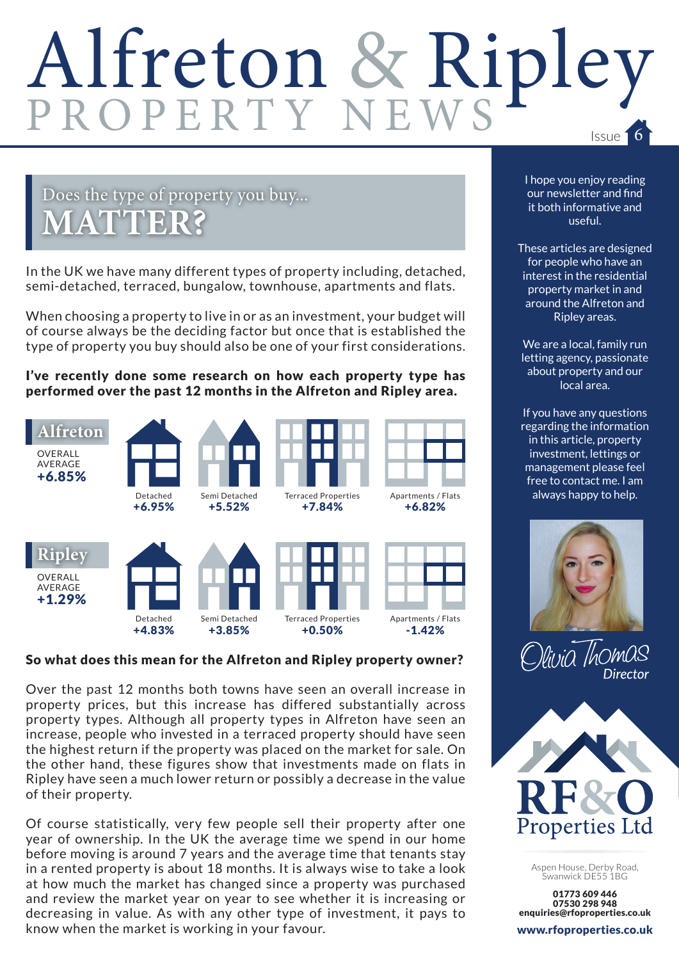# Alfreton & Ripley **Issue 1**

## Does the type of property you buy... **MATTER?**

In the UK we have many different types of property including, detached, semi-detached, terraced, bungalow, townhouse, apartments and flats.

When choosing a property to live in or as an investment, your budget will of course always be the deciding factor but once that is established the type of property you buy should also be one of your first considerations.

I've recently done some research on how each property type has performed over the past 12 months in the Alfreton and Ripley area.



#### So what does this mean for the Alfreton and Ripley property owner?

Over the past 12 months both towns have seen an overall increase in property prices, but this increase has differed substantially across property types. Although all property types in Alfreton have seen an increase, people who invested in a terraced property should have seen the highest return if the property was placed on the market for sale. On the other hand, these figures show that investments made on flats in Ripley have seen a much lower return or possibly a decrease in the value of their property.

Of course statistically, very few people sell their property after one year of ownership. In the UK the average time we spend in our home before moving is around 7 years and the average time that tenants stay in a rented property is about 18 months. It is always wise to take a look at how much the market has changed since a property was purchased and review the market year on year to see whether it is increasing or decreasing in value. As with any other type of investment, it pays to know when the market is working in your favour.

I hope you enjoy reading our newsletter and find it both informative and useful.

These articles are designed for people who have an interest in the residential property market in and around the Alfreton and Ripley areas.

We are a local, family run letting agency, passionate about property and our local area.

If you have any questions regarding the information in this article, property investment, lettings or management please feel free to contact me. I am always happy to help.







Aspen House, Derby Road, Swanwick DE55 1BG

01773 609 446 07530 298 948 enquiries@rfoproperties.co.uk

www.rfoproperties.co.uk